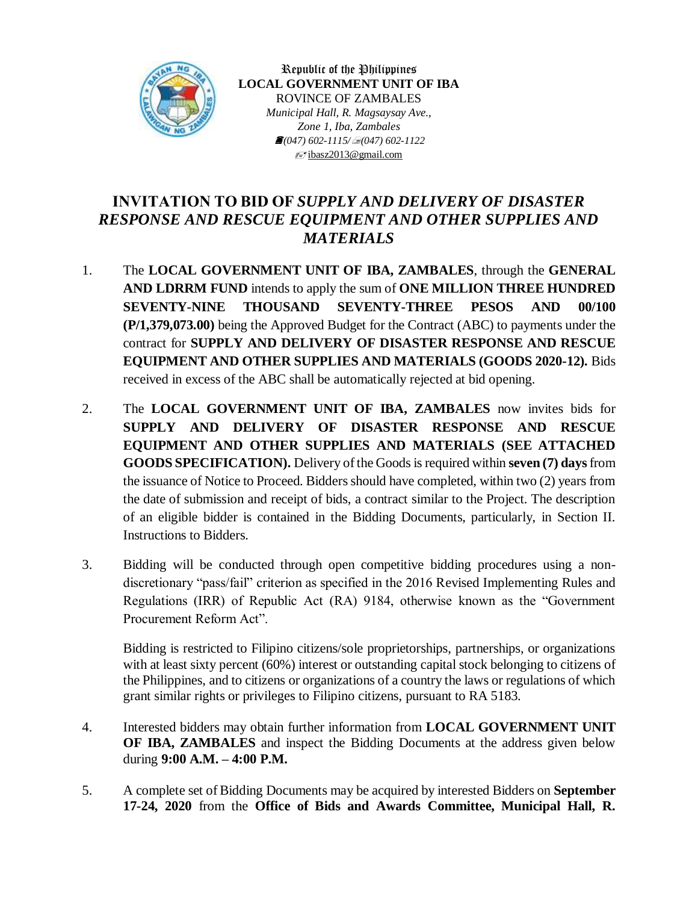

Republic of the Philippines **LOCAL GOVERNMENT UNIT OF IBA** ROVINCE OF ZAMBALES *Municipal Hall, R. Magsaysay Ave., Zone 1, Iba, Zambales (047) 602-1115/(047) 602-1122*  $\equiv$ jibasz2013@gmail.com

## **INVITATION TO BID OF** *SUPPLY AND DELIVERY OF DISASTER RESPONSE AND RESCUE EQUIPMENT AND OTHER SUPPLIES AND MATERIALS*

- 1. The **LOCAL GOVERNMENT UNIT OF IBA, ZAMBALES**, through the **GENERAL AND LDRRM FUND** intends to apply the sum of **ONE MILLION THREE HUNDRED SEVENTY-NINE THOUSAND SEVENTY-THREE PESOS AND 00/100 (P/1,379,073.00)** being the Approved Budget for the Contract (ABC) to payments under the contract for **SUPPLY AND DELIVERY OF DISASTER RESPONSE AND RESCUE EQUIPMENT AND OTHER SUPPLIES AND MATERIALS (GOODS 2020-12)***.* Bids received in excess of the ABC shall be automatically rejected at bid opening.
- 2. The **LOCAL GOVERNMENT UNIT OF IBA, ZAMBALES** now invites bids for **SUPPLY AND DELIVERY OF DISASTER RESPONSE AND RESCUE EQUIPMENT AND OTHER SUPPLIES AND MATERIALS (SEE ATTACHED GOODS SPECIFICATION).** Delivery of the Goods is required within **seven (7) days** from the issuance of Notice to Proceed. Bidders should have completed, within two (2) years from the date of submission and receipt of bids, a contract similar to the Project. The description of an eligible bidder is contained in the Bidding Documents, particularly, in Section II. Instructions to Bidders.
- 3. Bidding will be conducted through open competitive bidding procedures using a nondiscretionary "pass/fail" criterion as specified in the 2016 Revised Implementing Rules and Regulations (IRR) of Republic Act (RA) 9184, otherwise known as the "Government Procurement Reform Act".

Bidding is restricted to Filipino citizens/sole proprietorships, partnerships, or organizations with at least sixty percent (60%) interest or outstanding capital stock belonging to citizens of the Philippines, and to citizens or organizations of a country the laws or regulations of which grant similar rights or privileges to Filipino citizens, pursuant to RA 5183.

- 4. Interested bidders may obtain further information from **LOCAL GOVERNMENT UNIT OF IBA, ZAMBALES** and inspect the Bidding Documents at the address given below during **9:00 A.M. – 4:00 P.M.**
- 5. A complete set of Bidding Documents may be acquired by interested Bidders on **September 17-24, 2020** from the **Office of Bids and Awards Committee, Municipal Hall, R.**